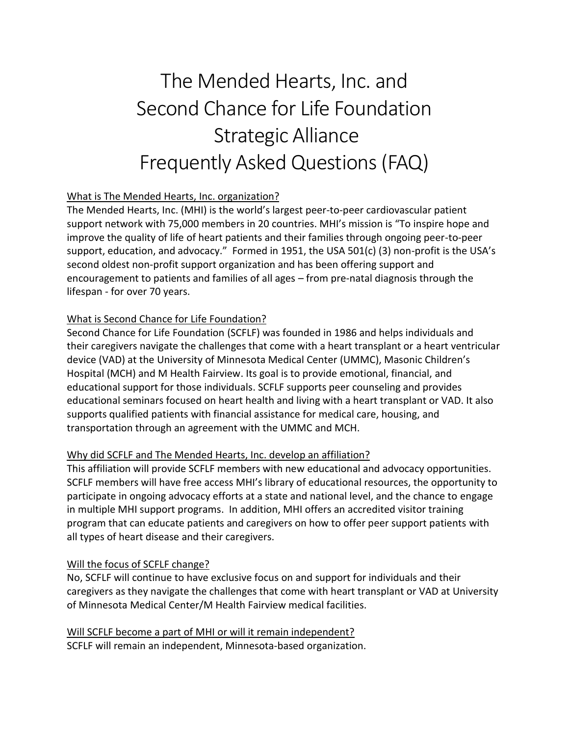# The Mended Hearts, Inc. and Second Chance for Life Foundation Strategic Alliance Frequently Asked Questions (FAQ)

# What is The Mended Hearts, Inc. organization?

The Mended Hearts, Inc. (MHI) is the world's largest peer-to-peer cardiovascular patient support network with 75,000 members in 20 countries. MHI's mission is "To inspire hope and improve the quality of life of heart patients and their families through ongoing peer-to-peer support, education, and advocacy." Formed in 1951, the USA 501(c) (3) non-profit is the USA's second oldest non-profit support organization and has been offering support and encouragement to patients and families of all ages – from pre-natal diagnosis through the lifespan - for over 70 years.

## What is Second Chance for Life Foundation?

Second Chance for Life Foundation (SCFLF) was founded in 1986 and helps individuals and their caregivers navigate the challenges that come with a heart transplant or a heart ventricular device (VAD) at the University of Minnesota Medical Center (UMMC), Masonic Children's Hospital (MCH) and M Health Fairview. Its goal is to provide emotional, financial, and educational support for those individuals. SCFLF supports peer counseling and provides educational seminars focused on heart health and living with a heart transplant or VAD. It also supports qualified patients with financial assistance for medical care, housing, and transportation through an agreement with the UMMC and MCH.

## Why did SCFLF and The Mended Hearts, Inc. develop an affiliation?

This affiliation will provide SCFLF members with new educational and advocacy opportunities. SCFLF members will have free access MHI's library of educational resources, the opportunity to participate in ongoing advocacy efforts at a state and national level, and the chance to engage in multiple MHI support programs. In addition, MHI offers an accredited visitor training program that can educate patients and caregivers on how to offer peer support patients with all types of heart disease and their caregivers.

## Will the focus of SCFLF change?

No, SCFLF will continue to have exclusive focus on and support for individuals and their caregivers as they navigate the challenges that come with heart transplant or VAD at University of Minnesota Medical Center/M Health Fairview medical facilities.

Will SCFLF become a part of MHI or will it remain independent? SCFLF will remain an independent, Minnesota-based organization.